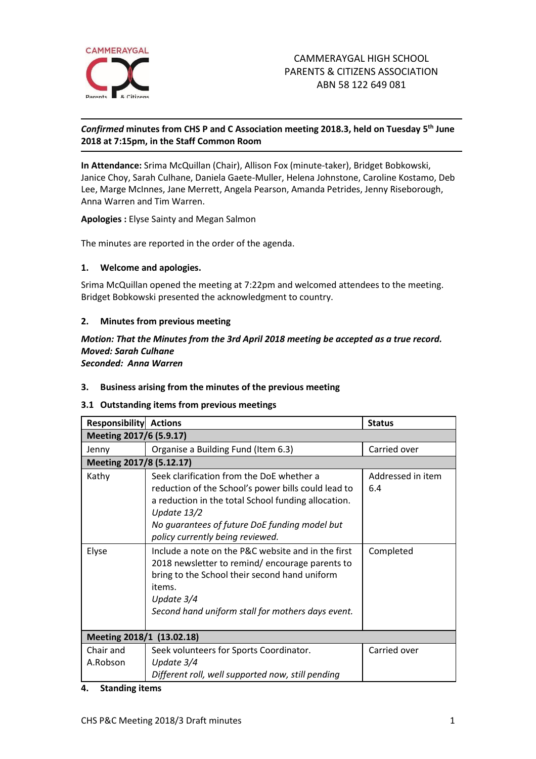

# *Confirmed* **minutes from CHS P and C Association meeting 2018.3, held on Tuesday 5 th June 2018 at 7:15pm, in the Staff Common Room**

**In Attendance:** Srima McQuillan (Chair), Allison Fox (minute-taker), Bridget Bobkowski, Janice Choy, Sarah Culhane, Daniela Gaete-Muller, Helena Johnstone, Caroline Kostamo, Deb Lee, Marge McInnes, Jane Merrett, Angela Pearson, Amanda Petrides, Jenny Riseborough, Anna Warren and Tim Warren.

**Apologies :** Elyse Sainty and Megan Salmon

The minutes are reported in the order of the agenda.

#### **1. Welcome and apologies.**

Srima McQuillan opened the meeting at 7:22pm and welcomed attendees to the meeting. Bridget Bobkowski presented the acknowledgment to country.

#### **2. Minutes from previous meeting**

#### *Motion: That the Minutes from the 3rd April 2018 meeting be accepted as a true record. Moved: Sarah Culhane Seconded: Anna Warren*

#### **3. Business arising from the minutes of the previous meeting**

#### **3.1 Outstanding items from previous meetings**

| <b>Responsibility Actions</b> |                                                                                                                                                                                                                                                             | <b>Status</b>            |
|-------------------------------|-------------------------------------------------------------------------------------------------------------------------------------------------------------------------------------------------------------------------------------------------------------|--------------------------|
| Meeting 2017/6 (5.9.17)       |                                                                                                                                                                                                                                                             |                          |
| Jenny                         | Organise a Building Fund (Item 6.3)                                                                                                                                                                                                                         | Carried over             |
| Meeting 2017/8 (5.12.17)      |                                                                                                                                                                                                                                                             |                          |
| Kathy                         | Seek clarification from the DoE whether a<br>reduction of the School's power bills could lead to<br>a reduction in the total School funding allocation.<br>Update 13/2<br>No guarantees of future DoE funding model but<br>policy currently being reviewed. | Addressed in item<br>6.4 |
| Elyse                         | Include a note on the P&C website and in the first<br>2018 newsletter to remind/ encourage parents to<br>bring to the School their second hand uniform<br>items.<br>Update 3/4<br>Second hand uniform stall for mothers days event.                         | Completed                |
| Meeting 2018/1 (13.02.18)     |                                                                                                                                                                                                                                                             |                          |
| Chair and<br>A.Robson         | Seek volunteers for Sports Coordinator.<br>Update $3/4$<br>Different roll, well supported now, still pending                                                                                                                                                | Carried over             |

#### **4. Standing items**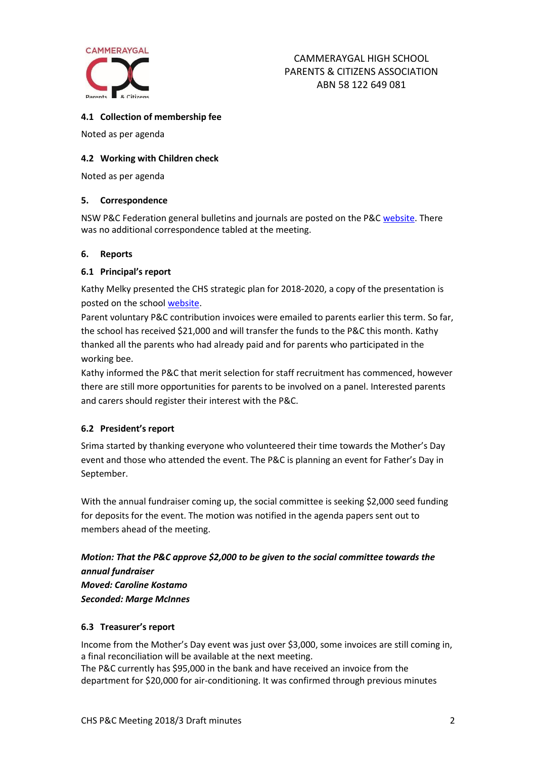

# **4.1 Collection of membership fee**

Noted as per agenda

# **4.2 Working with Children check**

Noted as per agenda

# **5. Correspondence**

NSW P&C Federation general bulletins and journals are posted on the P&C [website.](http://cammeraygalpandc.org.au/) There was no additional correspondence tabled at the meeting.

#### **6. Reports**

#### **6.1 Principal's report**

Kathy Melky presented the CHS strategic plan for 2018-2020, a copy of the presentation is posted on the school [website.](http://www.cammeraygal-h.schools.nsw.edu.au/about-us/school-plan)

Parent voluntary P&C contribution invoices were emailed to parents earlier this term. So far, the school has received \$21,000 and will transfer the funds to the P&C this month. Kathy thanked all the parents who had already paid and for parents who participated in the working bee.

Kathy informed the P&C that merit selection for staff recruitment has commenced, however there are still more opportunities for parents to be involved on a panel. Interested parents and carers should register their interest with the P&C.

# **6.2 President's report**

Srima started by thanking everyone who volunteered their time towards the Mother's Day event and those who attended the event. The P&C is planning an event for Father's Day in September.

With the annual fundraiser coming up, the social committee is seeking \$2,000 seed funding for deposits for the event. The motion was notified in the agenda papers sent out to members ahead of the meeting.

*Motion: That the P&C approve \$2,000 to be given to the social committee towards the annual fundraiser Moved: Caroline Kostamo Seconded: Marge McInnes*

# **6.3 Treasurer's report**

Income from the Mother's Day event was just over \$3,000, some invoices are still coming in, a final reconciliation will be available at the next meeting.

The P&C currently has \$95,000 in the bank and have received an invoice from the department for \$20,000 for air-conditioning. It was confirmed through previous minutes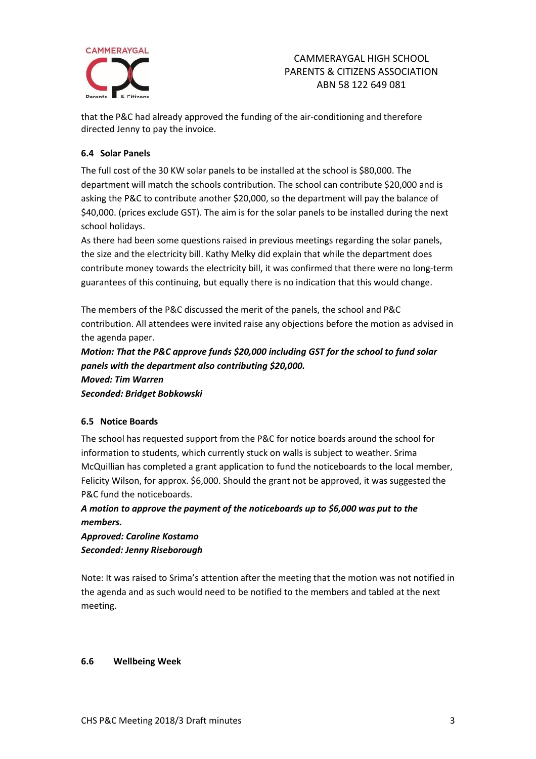

that the P&C had already approved the funding of the air-conditioning and therefore directed Jenny to pay the invoice.

#### **6.4 Solar Panels**

The full cost of the 30 KW solar panels to be installed at the school is \$80,000. The department will match the schools contribution. The school can contribute \$20,000 and is asking the P&C to contribute another \$20,000, so the department will pay the balance of \$40,000. (prices exclude GST). The aim is for the solar panels to be installed during the next school holidays.

As there had been some questions raised in previous meetings regarding the solar panels, the size and the electricity bill. Kathy Melky did explain that while the department does contribute money towards the electricity bill, it was confirmed that there were no long-term guarantees of this continuing, but equally there is no indication that this would change.

The members of the P&C discussed the merit of the panels, the school and P&C contribution. All attendees were invited raise any objections before the motion as advised in the agenda paper.

*Motion: That the P&C approve funds \$20,000 including GST for the school to fund solar panels with the department also contributing \$20,000. Moved: Tim Warren Seconded: Bridget Bobkowski*

# **6.5 Notice Boards**

The school has requested support from the P&C for notice boards around the school for information to students, which currently stuck on walls is subject to weather. Srima McQuillian has completed a grant application to fund the noticeboards to the local member, Felicity Wilson, for approx. \$6,000. Should the grant not be approved, it was suggested the P&C fund the noticeboards.

*A motion to approve the payment of the noticeboards up to \$6,000 was put to the members.* 

*Approved: Caroline Kostamo Seconded: Jenny Riseborough*

Note: It was raised to Srima's attention after the meeting that the motion was not notified in the agenda and as such would need to be notified to the members and tabled at the next meeting.

#### **6.6 Wellbeing Week**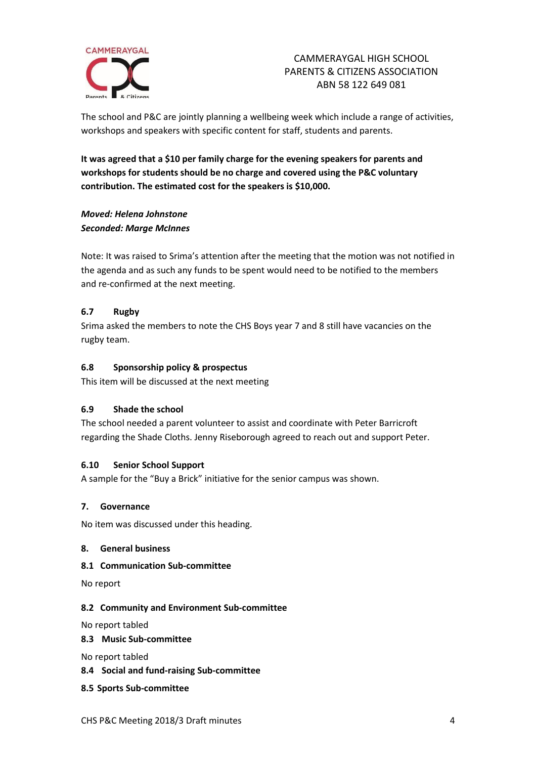

The school and P&C are jointly planning a wellbeing week which include a range of activities, workshops and speakers with specific content for staff, students and parents.

**It was agreed that a \$10 per family charge for the evening speakers for parents and workshops for students should be no charge and covered using the P&C voluntary contribution. The estimated cost for the speakers is \$10,000.**

# *Moved: Helena Johnstone Seconded: Marge McInnes*

Note: It was raised to Srima's attention after the meeting that the motion was not notified in the agenda and as such any funds to be spent would need to be notified to the members and re-confirmed at the next meeting.

# **6.7 Rugby**

Srima asked the members to note the CHS Boys year 7 and 8 still have vacancies on the rugby team.

# **6.8 Sponsorship policy & prospectus**

This item will be discussed at the next meeting

# **6.9 Shade the school**

The school needed a parent volunteer to assist and coordinate with Peter Barricroft regarding the Shade Cloths. Jenny Riseborough agreed to reach out and support Peter.

# **6.10 Senior School Support**

A sample for the "Buy a Brick" initiative for the senior campus was shown.

# **7. Governance**

No item was discussed under this heading.

# **8. General business**

#### **8.1 Communication Sub-committee**

No report

# **8.2 Community and Environment Sub-committee**

No report tabled

**8.3 Music Sub-committee**

No report tabled

**8.4 Social and fund-raising Sub-committee**

# **8.5 Sports Sub-committee**